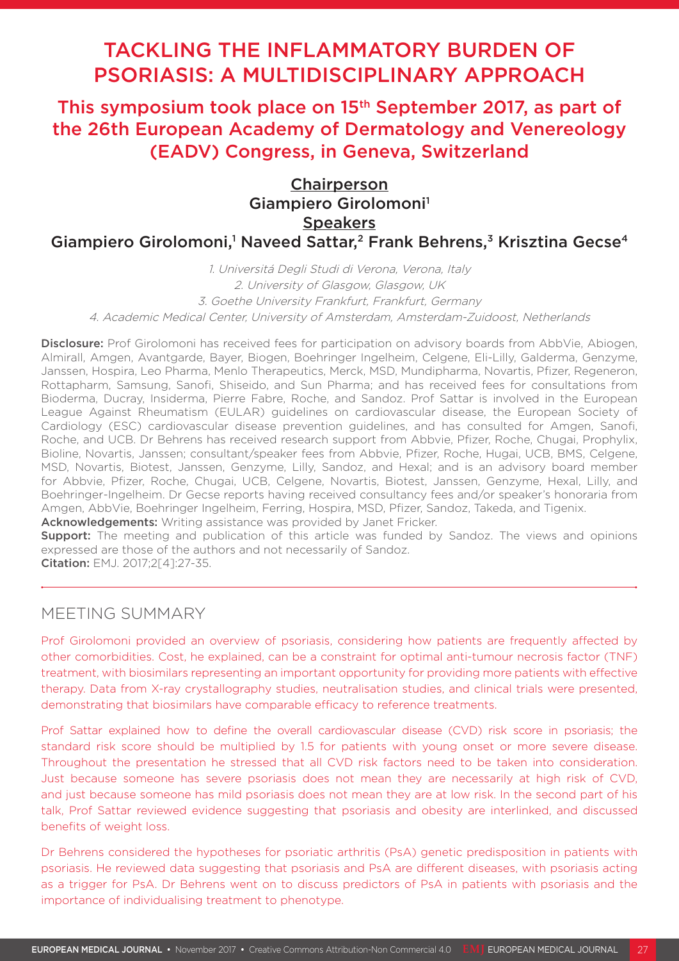# TACKLING THE INFLAMMATORY BURDEN OF PSORIASIS: A MULTIDISCIPLINARY APPROACH

This symposium took place on 15<sup>th</sup> September 2017, as part of the 26th European Academy of Dermatology and Venereology (EADV) Congress, in Geneva, Switzerland

## **Chairperson** Giampiero Girolomoni1 **Speakers** Giampiero Girolomoni,<sup>1</sup> Naveed Sattar,<sup>2</sup> Frank Behrens,<sup>3</sup> Krisztina Gecse<sup>4</sup>

1. Universitá Degli Studi di Verona, Verona, Italy 2. University of Glasgow, Glasgow, UK 3. Goethe University Frankfurt, Frankfurt, Germany 4. Academic Medical Center, University of Amsterdam, Amsterdam-Zuidoost, Netherlands

Disclosure: Prof Girolomoni has received fees for participation on advisory boards from AbbVie, Abiogen, Almirall, Amgen, Avantgarde, Bayer, Biogen, Boehringer Ingelheim, Celgene, Eli-Lilly, Galderma, Genzyme, Janssen, Hospira, Leo Pharma, Menlo Therapeutics, Merck, MSD, Mundipharma, Novartis, Pfizer, Regeneron, Rottapharm, Samsung, Sanofi, Shiseido, and Sun Pharma; and has received fees for consultations from Bioderma, Ducray, Insiderma, Pierre Fabre, Roche, and Sandoz. Prof Sattar is involved in the European League Against Rheumatism (EULAR) guidelines on cardiovascular disease, the European Society of Cardiology (ESC) cardiovascular disease prevention guidelines, and has consulted for Amgen, Sanofi, Roche, and UCB. Dr Behrens has received research support from Abbvie, Pfizer, Roche, Chugai, Prophylix, Bioline, Novartis, Janssen; consultant/speaker fees from Abbvie, Pfizer, Roche, Hugai, UCB, BMS, Celgene, MSD, Novartis, Biotest, Janssen, Genzyme, Lilly, Sandoz, and Hexal; and is an advisory board member for Abbvie, Pfizer, Roche, Chugai, UCB, Celgene, Novartis, Biotest, Janssen, Genzyme, Hexal, Lilly, and Boehringer-Ingelheim. Dr Gecse reports having received consultancy fees and/or speaker's honoraria from Amgen, AbbVie, Boehringer Ingelheim, Ferring, Hospira, MSD, Pfizer, Sandoz, Takeda, and Tigenix. Acknowledgements: Writing assistance was provided by Janet Fricker.

**Support:** The meeting and publication of this article was funded by Sandoz. The views and opinions

expressed are those of the authors and not necessarily of Sandoz.

Citation: EMJ. 2017;2[4]:27-35.

## MEETING SUMMARY

Prof Girolomoni provided an overview of psoriasis, considering how patients are frequently affected by other comorbidities. Cost, he explained, can be a constraint for optimal anti-tumour necrosis factor (TNF) treatment, with biosimilars representing an important opportunity for providing more patients with effective therapy. Data from X-ray crystallography studies, neutralisation studies, and clinical trials were presented, demonstrating that biosimilars have comparable efficacy to reference treatments.

Prof Sattar explained how to define the overall cardiovascular disease (CVD) risk score in psoriasis; the standard risk score should be multiplied by 1.5 for patients with young onset or more severe disease. Throughout the presentation he stressed that all CVD risk factors need to be taken into consideration. Just because someone has severe psoriasis does not mean they are necessarily at high risk of CVD, and just because someone has mild psoriasis does not mean they are at low risk. In the second part of his talk, Prof Sattar reviewed evidence suggesting that psoriasis and obesity are interlinked, and discussed benefits of weight loss.

Dr Behrens considered the hypotheses for psoriatic arthritis (PsA) genetic predisposition in patients with psoriasis. He reviewed data suggesting that psoriasis and PsA are different diseases, with psoriasis acting as a trigger for PsA. Dr Behrens went on to discuss predictors of PsA in patients with psoriasis and the importance of individualising treatment to phenotype.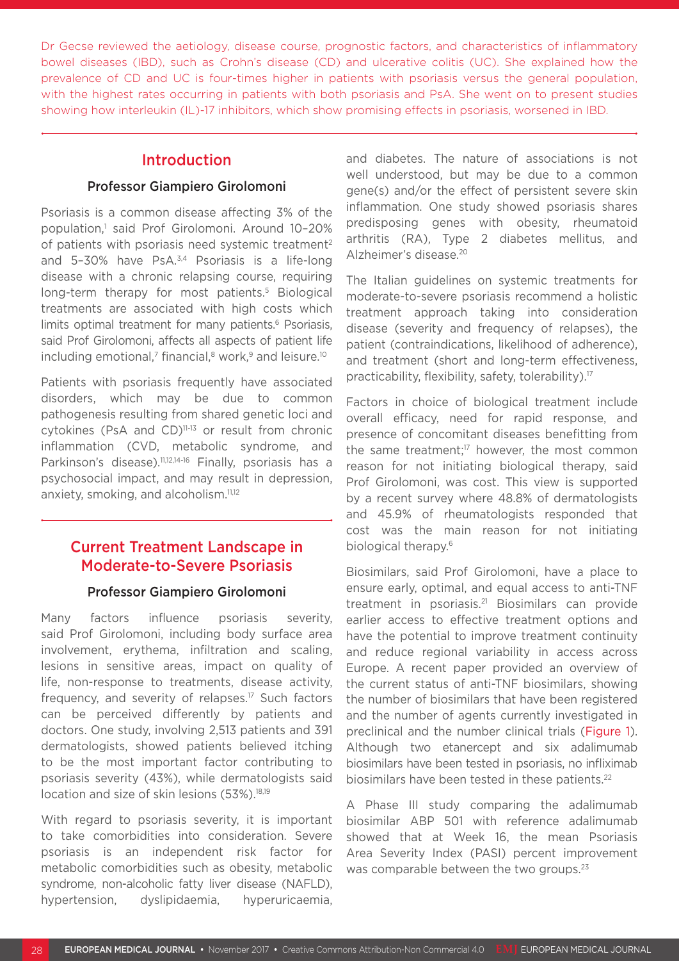Dr Gecse reviewed the aetiology, disease course, prognostic factors, and characteristics of inflammatory bowel diseases (IBD), such as Crohn's disease (CD) and ulcerative colitis (UC). She explained how the prevalence of CD and UC is four-times higher in patients with psoriasis versus the general population, with the highest rates occurring in patients with both psoriasis and PsA. She went on to present studies showing how interleukin (IL)-17 inhibitors, which show promising effects in psoriasis, worsened in IBD.

## Introduction

### Professor Giampiero Girolomoni

Psoriasis is a common disease affecting 3% of the population,1 said Prof Girolomoni. Around 10–20% of patients with psoriasis need systemic treatment<sup>2</sup> and 5-30% have PsA.<sup>3,4</sup> Psoriasis is a life-long disease with a chronic relapsing course, requiring long-term therapy for most patients.<sup>5</sup> Biological treatments are associated with high costs which limits optimal treatment for many patients.<sup>6</sup> Psoriasis, said Prof Girolomoni, affects all aspects of patient life including emotional,<sup>7</sup> financial, $8$  work, $9$  and leisure.<sup>10</sup>

Patients with psoriasis frequently have associated disorders, which may be due to common pathogenesis resulting from shared genetic loci and cytokines (PsA and CD)<sup>11-13</sup> or result from chronic inflammation (CVD, metabolic syndrome, and Parkinson's disease).<sup>11,12,14-16</sup> Finally, psoriasis has a psychosocial impact, and may result in depression, anxiety, smoking, and alcoholism.<sup>11,12</sup>

## Current Treatment Landscape in Moderate-to-Severe Psoriasis

#### Professor Giampiero Girolomoni

Many factors influence psoriasis severity, said Prof Girolomoni, including body surface area involvement, erythema, infiltration and scaling, lesions in sensitive areas, impact on quality of life, non-response to treatments, disease activity, frequency, and severity of relapses.<sup>17</sup> Such factors can be perceived differently by patients and doctors. One study, involving 2,513 patients and 391 dermatologists, showed patients believed itching to be the most important factor contributing to psoriasis severity (43%), while dermatologists said location and size of skin lesions (53%).<sup>18,19</sup>

With regard to psoriasis severity, it is important to take comorbidities into consideration. Severe psoriasis is an independent risk factor for metabolic comorbidities such as obesity, metabolic syndrome, non-alcoholic fatty liver disease (NAFLD), hypertension, dyslipidaemia, hyperuricaemia, and diabetes. The nature of associations is not well understood, but may be due to a common gene(s) and/or the effect of persistent severe skin inflammation. One study showed psoriasis shares predisposing genes with obesity, rheumatoid arthritis (RA), Type 2 diabetes mellitus, and Alzheimer's disease.20

The Italian guidelines on systemic treatments for moderate-to-severe psoriasis recommend a holistic treatment approach taking into consideration disease (severity and frequency of relapses), the patient (contraindications, likelihood of adherence), and treatment (short and long-term effectiveness, practicability, flexibility, safety, tolerability).<sup>17</sup>

Factors in choice of biological treatment include overall efficacy, need for rapid response, and presence of concomitant diseases benefitting from the same treatment;<sup>17</sup> however, the most common reason for not initiating biological therapy, said Prof Girolomoni, was cost. This view is supported by a recent survey where 48.8% of dermatologists and 45.9% of rheumatologists responded that cost was the main reason for not initiating biological therapy.<sup>6</sup>

Biosimilars, said Prof Girolomoni, have a place to ensure early, optimal, and equal access to anti-TNF treatment in psoriasis.<sup>21</sup> Biosimilars can provide earlier access to effective treatment options and have the potential to improve treatment continuity and reduce regional variability in access across Europe. A recent paper provided an overview of the current status of anti-TNF biosimilars, showing the number of biosimilars that have been registered and the number of agents currently investigated in preclinical and the number clinical trials (Figure 1). Although two etanercept and six adalimumab biosimilars have been tested in psoriasis, no infliximab biosimilars have been tested in these patients.<sup>22</sup>

A Phase III study comparing the adalimumab biosimilar ABP 501 with reference adalimumab showed that at Week 16, the mean Psoriasis Area Severity Index (PASI) percent improvement was comparable between the two groups.<sup>23</sup>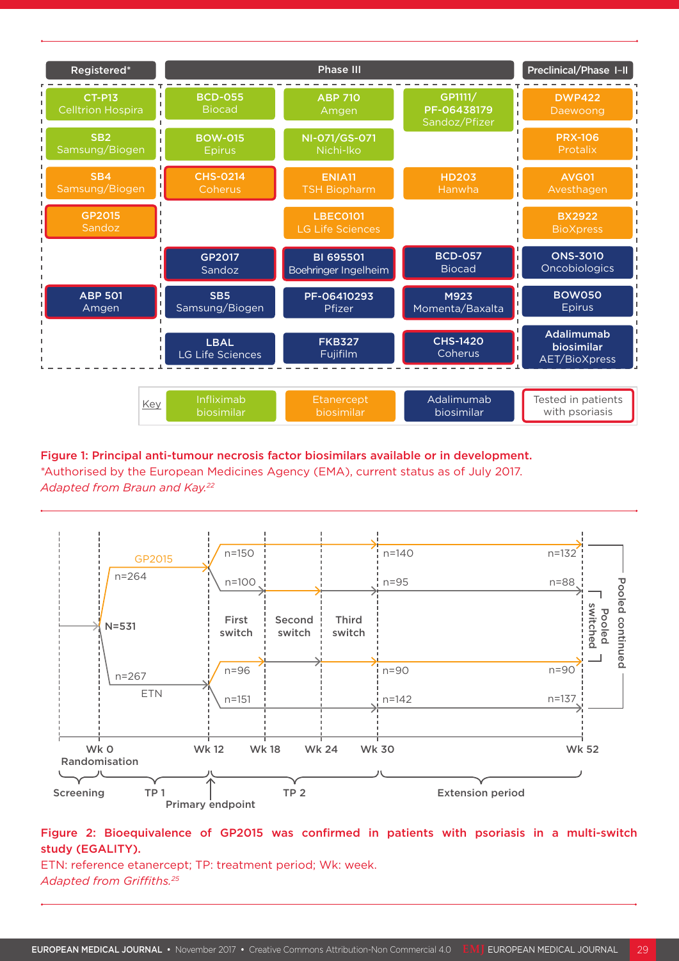

## Figure 1: Principal anti-tumour necrosis factor biosimilars available or in development. \*Authorised by the European Medicines Agency (EMA), current status as of July 2017. *Adapted from Braun and Kay.22*



## Figure 2: Bioequivalence of GP2015 was confirmed in patients with psoriasis in a multi-switch study (EGALITY).

ETN: reference etanercept; TP: treatment period; Wk: week. *Adapted from Griffiths.25*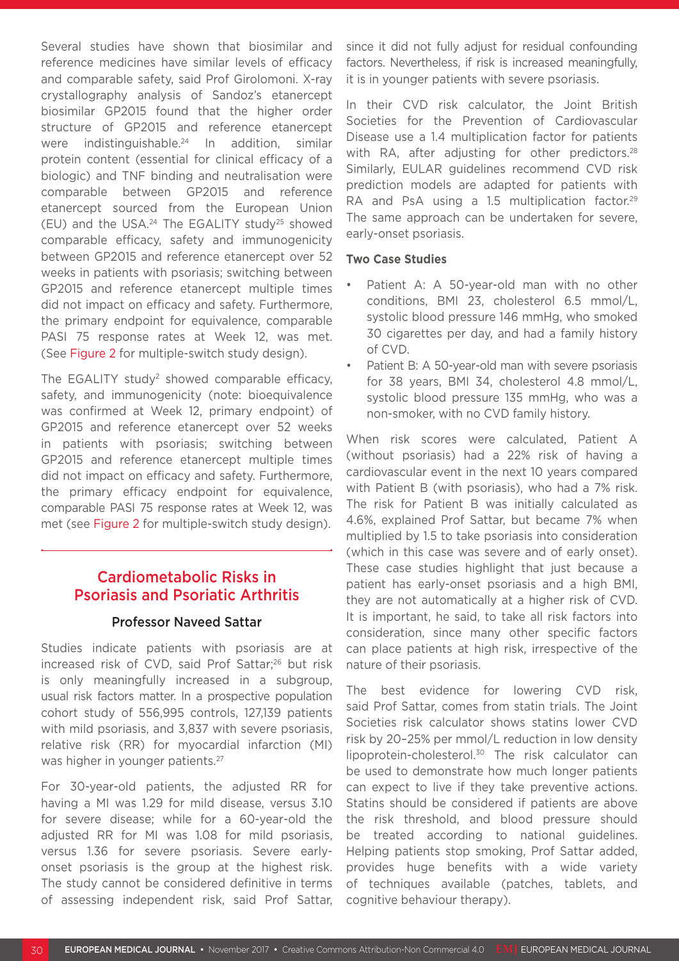Several studies have shown that biosimilar and reference medicines have similar levels of efficacy and comparable safety, said Prof Girolomoni. X-ray crystallography analysis of Sandoz's etanercept biosimilar GP2015 found that the higher order structure of GP2015 and reference etanercept were indistinguishable.<sup>24</sup> In addition, similar protein content (essential for clinical efficacy of a biologic) and TNF binding and neutralisation were comparable between GP2015 and reference etanercept sourced from the European Union (EU) and the USA.<sup>24</sup> The EGALITY study<sup>25</sup> showed comparable efficacy, safety and immunogenicity between GP2015 and reference etanercept over 52 weeks in patients with psoriasis; switching between GP2015 and reference etanercept multiple times did not impact on efficacy and safety. Furthermore, the primary endpoint for equivalence, comparable PASI 75 response rates at Week 12, was met. (See Figure 2 for multiple-switch study design).

The EGALITY study<sup>2</sup> showed comparable efficacy, safety, and immunogenicity (note: bioequivalence was confirmed at Week 12, primary endpoint) of GP2015 and reference etanercept over 52 weeks in patients with psoriasis; switching between GP2015 and reference etanercept multiple times did not impact on efficacy and safety. Furthermore, the primary efficacy endpoint for equivalence, comparable PASI 75 response rates at Week 12, was met (see Figure 2 for multiple-switch study design).

## Cardiometabolic Risks in Psoriasis and Psoriatic Arthritis

## Professor Naveed Sattar

Studies indicate patients with psoriasis are at increased risk of CVD, said Prof Sattar;<sup>26</sup> but risk is only meaningfully increased in a subgroup, usual risk factors matter. In a prospective population cohort study of 556,995 controls, 127,139 patients with mild psoriasis, and 3,837 with severe psoriasis, relative risk (RR) for myocardial infarction (MI) was higher in younger patients.<sup>27</sup>

For 30-year-old patients, the adjusted RR for having a MI was 1.29 for mild disease, versus 3.10 for severe disease; while for a 60-year-old the adjusted RR for MI was 1.08 for mild psoriasis, versus 1.36 for severe psoriasis. Severe earlyonset psoriasis is the group at the highest risk. The study cannot be considered definitive in terms of assessing independent risk, said Prof Sattar, since it did not fully adjust for residual confounding factors. Nevertheless, if risk is increased meaningfully, it is in younger patients with severe psoriasis.

In their CVD risk calculator, the Joint British Societies for the Prevention of Cardiovascular Disease use a 1.4 multiplication factor for patients with RA, after adjusting for other predictors.<sup>28</sup> Similarly, EULAR guidelines recommend CVD risk prediction models are adapted for patients with RA and PsA using a 1.5 multiplication factor.<sup>29</sup> The same approach can be undertaken for severe, early-onset psoriasis.

### **Two Case Studies**

- Patient A: A 50-year-old man with no other conditions, BMI 23, cholesterol 6.5 mmol/L, systolic blood pressure 146 mmHg, who smoked 30 cigarettes per day, and had a family history of CVD.
- Patient B: A 50-year-old man with severe psoriasis for 38 years, BMI 34, cholesterol 4.8 mmol/L, systolic blood pressure 135 mmHg, who was a non-smoker, with no CVD family history.

When risk scores were calculated, Patient A (without psoriasis) had a 22% risk of having a cardiovascular event in the next 10 years compared with Patient B (with psoriasis), who had a 7% risk. The risk for Patient B was initially calculated as 4.6%, explained Prof Sattar, but became 7% when multiplied by 1.5 to take psoriasis into consideration (which in this case was severe and of early onset). These case studies highlight that just because a patient has early-onset psoriasis and a high BMI, they are not automatically at a higher risk of CVD. It is important, he said, to take all risk factors into consideration, since many other specific factors can place patients at high risk, irrespective of the nature of their psoriasis.

The best evidence for lowering CVD risk, said Prof Sattar, comes from statin trials. The Joint Societies risk calculator shows statins lower CVD risk by 20–25% per mmol/L reduction in low density lipoprotein-cholesterol.30 The risk calculator can be used to demonstrate how much longer patients can expect to live if they take preventive actions. Statins should be considered if patients are above the risk threshold, and blood pressure should be treated according to national guidelines. Helping patients stop smoking, Prof Sattar added, provides huge benefits with a wide variety of techniques available (patches, tablets, and cognitive behaviour therapy).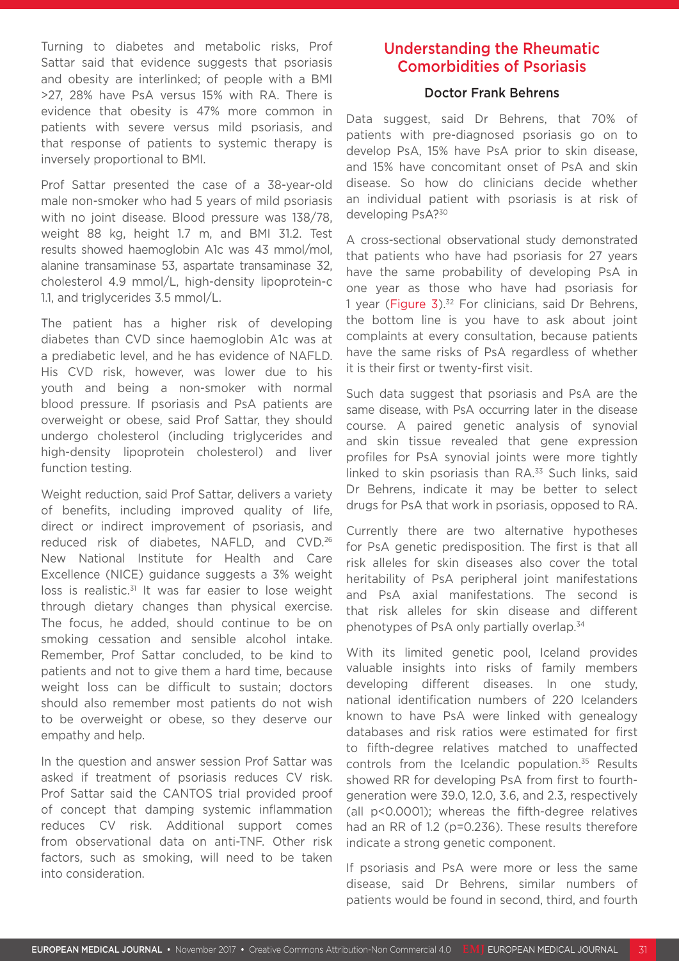Turning to diabetes and metabolic risks, Prof Sattar said that evidence suggests that psoriasis and obesity are interlinked; of people with a BMI >27, 28% have PsA versus 15% with RA. There is evidence that obesity is 47% more common in patients with severe versus mild psoriasis, and that response of patients to systemic therapy is inversely proportional to BMI.

Prof Sattar presented the case of a 38-year-old male non-smoker who had 5 years of mild psoriasis with no joint disease. Blood pressure was 138/78, weight 88 kg, height 1.7 m, and BMI 31.2. Test results showed haemoglobin A1c was 43 mmol/mol, alanine transaminase 53, aspartate transaminase 32, cholesterol 4.9 mmol/L, high-density lipoprotein-c 1.1, and triglycerides 3.5 mmol/L.

The patient has a higher risk of developing diabetes than CVD since haemoglobin A1c was at a prediabetic level, and he has evidence of NAFLD. His CVD risk, however, was lower due to his youth and being a non-smoker with normal blood pressure. If psoriasis and PsA patients are overweight or obese, said Prof Sattar, they should undergo cholesterol (including triglycerides and high-density lipoprotein cholesterol) and liver function testing.

Weight reduction, said Prof Sattar, delivers a variety of benefits, including improved quality of life, direct or indirect improvement of psoriasis, and reduced risk of diabetes, NAFLD, and CVD.26 New National Institute for Health and Care Excellence (NICE) guidance suggests a 3% weight loss is realistic.<sup>31</sup> It was far easier to lose weight through dietary changes than physical exercise. The focus, he added, should continue to be on smoking cessation and sensible alcohol intake. Remember, Prof Sattar concluded, to be kind to patients and not to give them a hard time, because weight loss can be difficult to sustain; doctors should also remember most patients do not wish to be overweight or obese, so they deserve our empathy and help.

In the question and answer session Prof Sattar was asked if treatment of psoriasis reduces CV risk. Prof Sattar said the CANTOS trial provided proof of concept that damping systemic inflammation reduces CV risk. Additional support comes from observational data on anti-TNF. Other risk factors, such as smoking, will need to be taken into consideration.

## Understanding the Rheumatic Comorbidities of Psoriasis

## Doctor Frank Behrens

Data suggest, said Dr Behrens, that 70% of patients with pre-diagnosed psoriasis go on to develop PsA, 15% have PsA prior to skin disease, and 15% have concomitant onset of PsA and skin disease. So how do clinicians decide whether an individual patient with psoriasis is at risk of developing PsA?30

A cross-sectional observational study demonstrated that patients who have had psoriasis for 27 years have the same probability of developing PsA in one year as those who have had psoriasis for 1 year (Figure  $3$ ).<sup>32</sup> For clinicians, said Dr Behrens, the bottom line is you have to ask about joint complaints at every consultation, because patients have the same risks of PsA regardless of whether it is their first or twenty-first visit.

Such data suggest that psoriasis and PsA are the same disease, with PsA occurring later in the disease course. A paired genetic analysis of synovial and skin tissue revealed that gene expression profiles for PsA synovial joints were more tightly linked to skin psoriasis than  $RA^{33}$  Such links, said Dr Behrens, indicate it may be better to select drugs for PsA that work in psoriasis, opposed to RA.

Currently there are two alternative hypotheses for PsA genetic predisposition. The first is that all risk alleles for skin diseases also cover the total heritability of PsA peripheral joint manifestations and PsA axial manifestations. The second is that risk alleles for skin disease and different phenotypes of PsA only partially overlap.<sup>34</sup>

With its limited genetic pool, Iceland provides valuable insights into risks of family members developing different diseases. In one study, national identification numbers of 220 Icelanders known to have PsA were linked with genealogy databases and risk ratios were estimated for first to fifth-degree relatives matched to unaffected controls from the Icelandic population.<sup>35</sup> Results showed RR for developing PsA from first to fourthgeneration were 39.0, 12.0, 3.6, and 2.3, respectively (all p<0.0001); whereas the fifth-degree relatives had an RR of 1.2 (p=0.236). These results therefore indicate a strong genetic component.

If psoriasis and PsA were more or less the same disease, said Dr Behrens, similar numbers of patients would be found in second, third, and fourth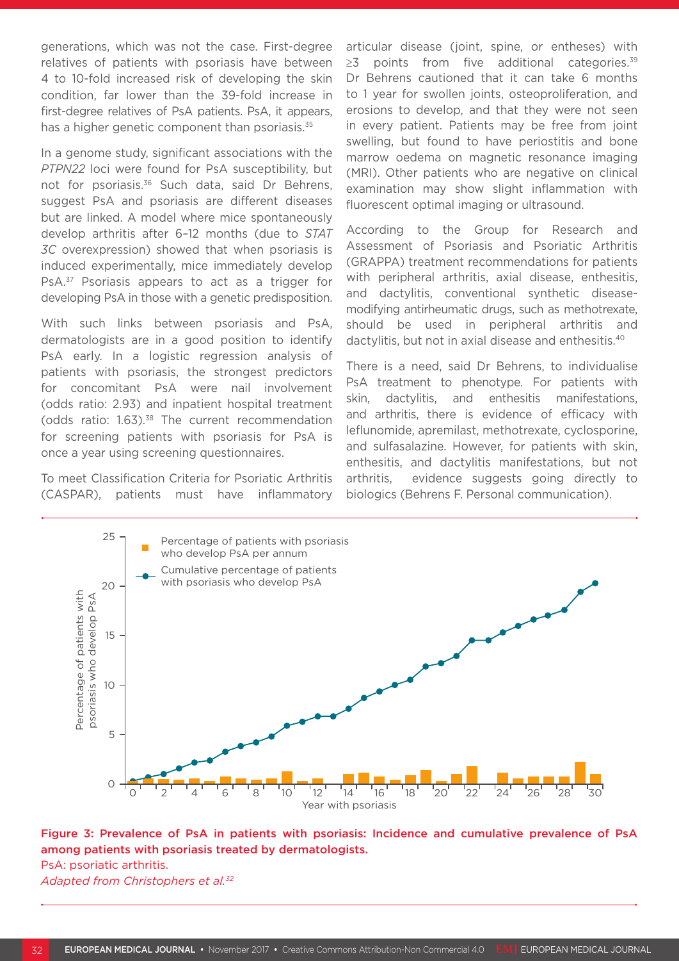generations, which was not the case. First-degree relatives of patients with psoriasis have between 4 to 10-fold increased risk of developing the skin condition, far lower than the 39-fold increase in first-degree relatives of PsA patients. PsA, it appears, has a higher genetic component than psoriasis.<sup>35</sup>

In a genome study, significant associations with the *PTPN22* loci were found for PsA susceptibility, but not for psoriasis.<sup>36</sup> Such data, said Dr Behrens, suggest PsA and psoriasis are different diseases but are linked. A model where mice spontaneously develop arthritis after 6–12 months (due to *STAT 3C* overexpression) showed that when psoriasis is induced experimentally, mice immediately develop PsA.37 Psoriasis appears to act as a trigger for developing PsA in those with a genetic predisposition.

With such links between psoriasis and PsA, dermatologists are in a good position to identify PsA early. In a logistic regression analysis of patients with psoriasis, the strongest predictors for concomitant PsA were nail involvement (odds ratio: 2.93) and inpatient hospital treatment (odds ratio: 1.63).38 The current recommendation for screening patients with psoriasis for PsA is once a year using screening questionnaires.

To meet Classification Criteria for Psoriatic Arthritis (CASPAR), patients must have inflammatory articular disease (joint, spine, or entheses) with  $\geq$ 3 points from five additional categories.<sup>39</sup> Dr Behrens cautioned that it can take 6 months to 1 year for swollen joints, osteoproliferation, and erosions to develop, and that they were not seen in every patient. Patients may be free from joint swelling, but found to have periostitis and bone marrow oedema on magnetic resonance imaging (MRI). Other patients who are negative on clinical examination may show slight inflammation with fluorescent optimal imaging or ultrasound.

According to the Group for Research and Assessment of Psoriasis and Psoriatic Arthritis (GRAPPA) treatment recommendations for patients with peripheral arthritis, axial disease, enthesitis, and dactylitis, conventional synthetic diseasemodifying antirheumatic drugs, such as methotrexate, should be used in peripheral arthritis and dactylitis, but not in axial disease and enthesitis.40

There is a need, said Dr Behrens, to individualise PsA treatment to phenotype. For patients with skin, dactylitis, and enthesitis manifestations, and arthritis, there is evidence of efficacy with leflunomide, apremilast, methotrexate, cyclosporine, and sulfasalazine. However, for patients with skin, enthesitis, and dactylitis manifestations, but not arthritis, evidence suggests going directly to biologics (Behrens F. Personal communication).



Figure 3: Prevalence of PsA in patients with psoriasis: Incidence and cumulative prevalence of PsA among patients with psoriasis treated by dermatologists.

PsA: psoriatic arthritis. *Adapted from Christophers et al.32*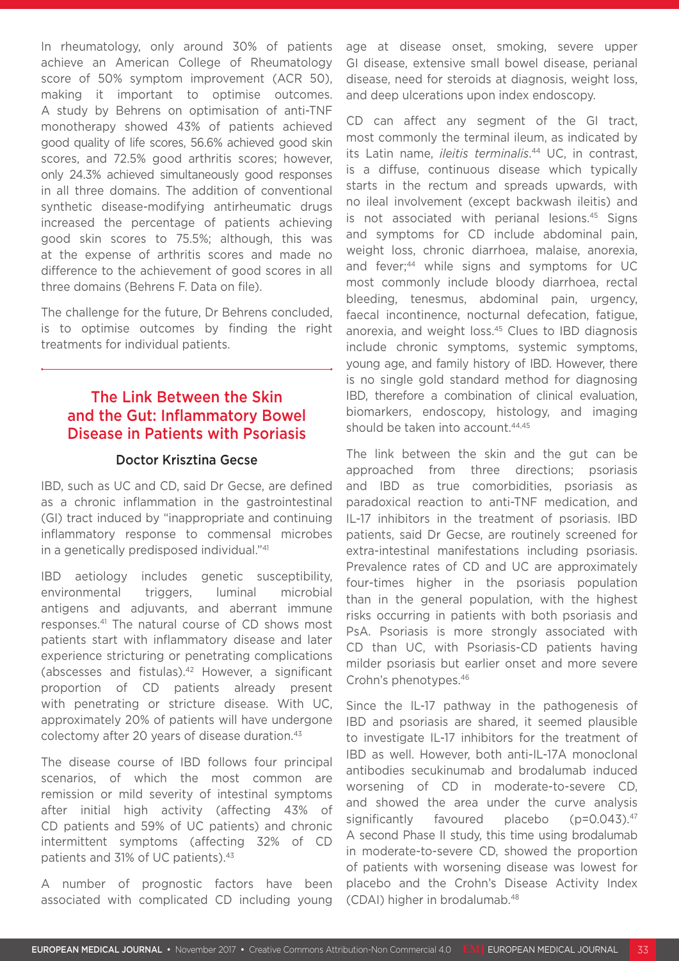In rheumatology, only around 30% of patients achieve an American College of Rheumatology score of 50% symptom improvement (ACR 50), making it important to optimise outcomes. A study by Behrens on optimisation of anti-TNF monotherapy showed 43% of patients achieved good quality of life scores, 56.6% achieved good skin scores, and 72.5% good arthritis scores; however, only 24.3% achieved simultaneously good responses in all three domains. The addition of conventional synthetic disease-modifying antirheumatic drugs increased the percentage of patients achieving good skin scores to 75.5%; although, this was at the expense of arthritis scores and made no difference to the achievement of good scores in all three domains (Behrens F. Data on file).

The challenge for the future, Dr Behrens concluded, is to optimise outcomes by finding the right treatments for individual patients.

## The Link Between the Skin and the Gut: Inflammatory Bowel Disease in Patients with Psoriasis

### Doctor Krisztina Gecse

IBD, such as UC and CD, said Dr Gecse, are defined as a chronic inflammation in the gastrointestinal (GI) tract induced by "inappropriate and continuing inflammatory response to commensal microbes in a genetically predisposed individual."41

IBD aetiology includes genetic susceptibility, environmental triggers, luminal microbial antigens and adjuvants, and aberrant immune responses.41 The natural course of CD shows most patients start with inflammatory disease and later experience stricturing or penetrating complications (abscesses and fistulas).42 However, a significant proportion of CD patients already present with penetrating or stricture disease. With UC, approximately 20% of patients will have undergone colectomy after 20 years of disease duration.43

The disease course of IBD follows four principal scenarios, of which the most common are remission or mild severity of intestinal symptoms after initial high activity (affecting 43% of CD patients and 59% of UC patients) and chronic intermittent symptoms (affecting 32% of CD patients and 31% of UC patients).43

A number of prognostic factors have been associated with complicated CD including young age at disease onset, smoking, severe upper GI disease, extensive small bowel disease, perianal disease, need for steroids at diagnosis, weight loss, and deep ulcerations upon index endoscopy.

CD can affect any segment of the GI tract, most commonly the terminal ileum, as indicated by its Latin name, *ileitis terminalis*. 44 UC, in contrast, is a diffuse, continuous disease which typically starts in the rectum and spreads upwards, with no ileal involvement (except backwash ileitis) and is not associated with perianal lesions.<sup>45</sup> Signs and symptoms for CD include abdominal pain, weight loss, chronic diarrhoea, malaise, anorexia, and fever;<sup>44</sup> while signs and symptoms for UC most commonly include bloody diarrhoea, rectal bleeding, tenesmus, abdominal pain, urgency, faecal incontinence, nocturnal defecation, fatigue, anorexia, and weight loss.45 Clues to IBD diagnosis include chronic symptoms, systemic symptoms, young age, and family history of IBD. However, there is no single gold standard method for diagnosing IBD, therefore a combination of clinical evaluation, biomarkers, endoscopy, histology, and imaging should be taken into account.<sup>44,45</sup>

The link between the skin and the gut can be approached from three directions; psoriasis and IBD as true comorbidities, psoriasis as paradoxical reaction to anti-TNF medication, and IL-17 inhibitors in the treatment of psoriasis. IBD patients, said Dr Gecse, are routinely screened for extra-intestinal manifestations including psoriasis. Prevalence rates of CD and UC are approximately four-times higher in the psoriasis population than in the general population, with the highest risks occurring in patients with both psoriasis and PsA. Psoriasis is more strongly associated with CD than UC, with Psoriasis-CD patients having milder psoriasis but earlier onset and more severe Crohn's phenotypes.46

Since the IL-17 pathway in the pathogenesis of IBD and psoriasis are shared, it seemed plausible to investigate IL-17 inhibitors for the treatment of IBD as well. However, both anti-IL-17A monoclonal antibodies secukinumab and brodalumab induced worsening of CD in moderate-to-severe CD, and showed the area under the curve analysis significantly favoured placebo  $(p=0.043).47$ A second Phase II study, this time using brodalumab in moderate-to-severe CD, showed the proportion of patients with worsening disease was lowest for placebo and the Crohn's Disease Activity Index (CDAI) higher in brodalumab.48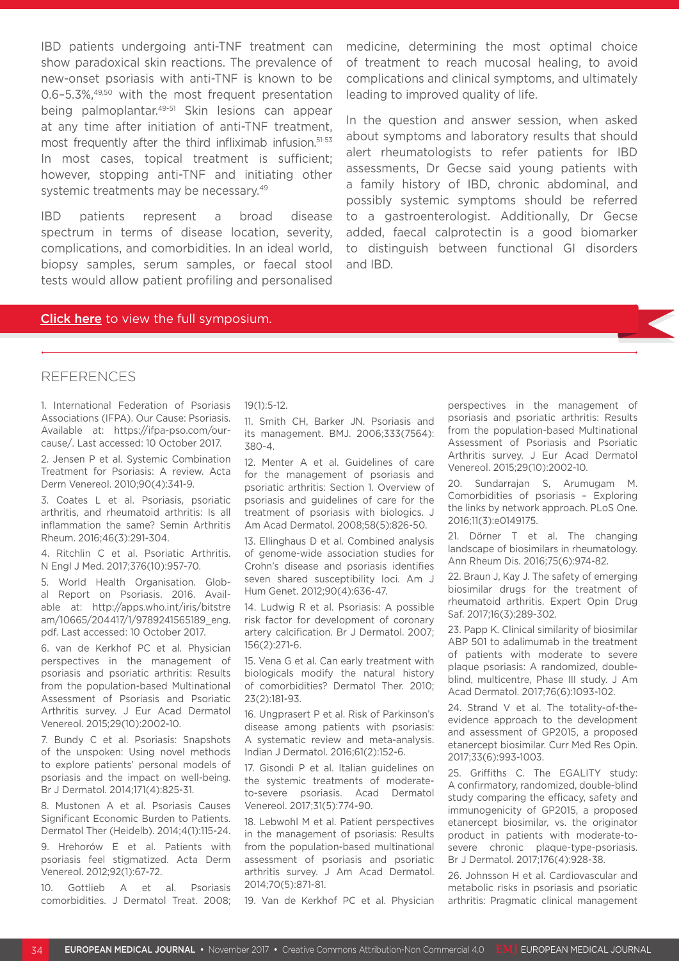IBD patients undergoing anti-TNF treatment can show paradoxical skin reactions. The prevalence of new-onset psoriasis with anti-TNF is known to be 0.6–5.3%,49,50 with the most frequent presentation being palmoplantar.49-51 Skin lesions can appear at any time after initiation of anti-TNF treatment, most frequently after the third infliximab infusion.51-53 In most cases, topical treatment is sufficient; however, stopping anti-TNF and initiating other systemic treatments may be necessary.<sup>49</sup>

IBD patients represent a broad disease spectrum in terms of disease location, severity, complications, and comorbidities. In an ideal world, biopsy samples, serum samples, or faecal stool tests would allow patient profiling and personalised

medicine, determining the most optimal choice of treatment to reach mucosal healing, to avoid complications and clinical symptoms, and ultimately leading to improved quality of life.

In the question and answer session, when asked about symptoms and laboratory results that should alert rheumatologists to refer patients for IBD assessments, Dr Gecse said young patients with a family history of IBD, chronic abdominal, and possibly systemic symptoms should be referred to a gastroenterologist. Additionally, Dr Gecse added, faecal calprotectin is a good biomarker to distinguish between functional GI disorders and IBD.

#### Click here to view the full symposium.

### REFERENCES

1. International Federation of Psoriasis Associations (IFPA). Our Cause: Psoriasis. Available at: https://ifpa-pso.com/ourcause/. Last accessed: 10 October 2017.

2. Jensen P et al. Systemic Combination Treatment for Psoriasis: A review. Acta Derm Venereol. 2010;90(4):341-9.

3. Coates L et al. Psoriasis, psoriatic arthritis, and rheumatoid arthritis: Is all inflammation the same? Semin Arthritis Rheum. 2016;46(3):291-304.

4. Ritchlin C et al. Psoriatic Arthritis. N Engl J Med. 2017;376(10):957-70.

5. World Health Organisation. Global Report on Psoriasis. 2016. Available at: http://apps.who.int/iris/bitstre am/10665/204417/1/9789241565189\_eng. pdf. Last accessed: 10 October 2017.

6. van de Kerkhof PC et al. Physician perspectives in the management of psoriasis and psoriatic arthritis: Results from the population-based Multinational Assessment of Psoriasis and Psoriatic Arthritis survey. J Eur Acad Dermatol Venereol. 2015;29(10):2002-10.

7. Bundy C et al. Psoriasis: Snapshots of the unspoken: Using novel methods to explore patients' personal models of psoriasis and the impact on well-being. Br J Dermatol. 2014;171(4):825-31.

8. Mustonen A et al. Psoriasis Causes Significant Economic Burden to Patients. Dermatol Ther (Heidelb). 2014;4(1):115-24.

9. Hrehorów E et al. Patients with psoriasis feel stigmatized. Acta Derm Venereol. 2012;92(1):67-72.

10. Gottlieb A et al. Psoriasis comorbidities. J Dermatol Treat. 2008; 19(1):5-12.

11. Smith CH, Barker JN. Psoriasis and its management. BMJ. 2006;333(7564): 380-4.

12. Menter A et al. Guidelines of care for the management of psoriasis and psoriatic arthritis: Section 1. Overview of psoriasis and guidelines of care for the treatment of psoriasis with biologics. J Am Acad Dermatol. 2008;58(5):826-50.

13. Ellinghaus D et al. Combined analysis of genome-wide association studies for Crohn's disease and psoriasis identifies seven shared susceptibility loci. Am J Hum Genet. 2012;90(4):636-47.

14. Ludwig R et al. Psoriasis: A possible risk factor for development of coronary artery calcification. Br J Dermatol. 2007; 156(2):271-6.

15. Vena G et al. Can early treatment with biologicals modify the natural history of comorbidities? Dermatol Ther. 2010; 23(2):181-93.

16. Ungprasert P et al. Risk of Parkinson's disease among patients with psoriasis: A systematic review and meta-analysis. Indian J Dermatol. 2016;61(2):152-6.

17. Gisondi P et al. Italian guidelines on the systemic treatments of moderateto-severe psoriasis. Acad Dermatol Venereol. 2017;31(5):774-90.

18. Lebwohl M et al. Patient perspectives in the management of psoriasis: Results from the population-based multinational assessment of psoriasis and psoriatic arthritis survey. J Am Acad Dermatol. 2014;70(5):871-81.

19. Van de Kerkhof PC et al. Physician

perspectives in the management of psoriasis and psoriatic arthritis: Results from the population-based Multinational Assessment of Psoriasis and Psoriatic Arthritis survey. J Eur Acad Dermatol Venereol. 2015;29(10):2002-10.

20. Sundarrajan S, Arumugam M. Comorbidities of psoriasis – Exploring the links by network approach. PLoS One. 2016;11(3):e0149175.

21. Dörner T et al. The changing landscape of biosimilars in rheumatology. Ann Rheum Dis. 2016;75(6):974-82.

22. Braun J, Kay J. The safety of emerging biosimilar drugs for the treatment of rheumatoid arthritis. Expert Opin Drug Saf. 2017;16(3):289-302.

23. Papp K. Clinical similarity of biosimilar ABP 501 to adalimumab in the treatment of patients with moderate to severe plaque psoriasis: A randomized, doubleblind, multicentre, Phase III study. J Am Acad Dermatol. 2017;76(6):1093-102.

24. Strand V et al. The totality-of-theevidence approach to the development and assessment of GP2015, a proposed etanercept biosimilar. Curr Med Res Opin. 2017;33(6):993-1003.

25. Griffiths C. The EGALITY study: A confirmatory, randomized, double-blind study comparing the efficacy, safety and immunogenicity of GP2015, a proposed etanercept biosimilar, vs. the originator product in patients with moderate-tosevere chronic plaque-type-psoriasis. Br J Dermatol. 2017;176(4):928-38.

26. Johnsson H et al. Cardiovascular and metabolic risks in psoriasis and psoriatic arthritis: Pragmatic clinical management